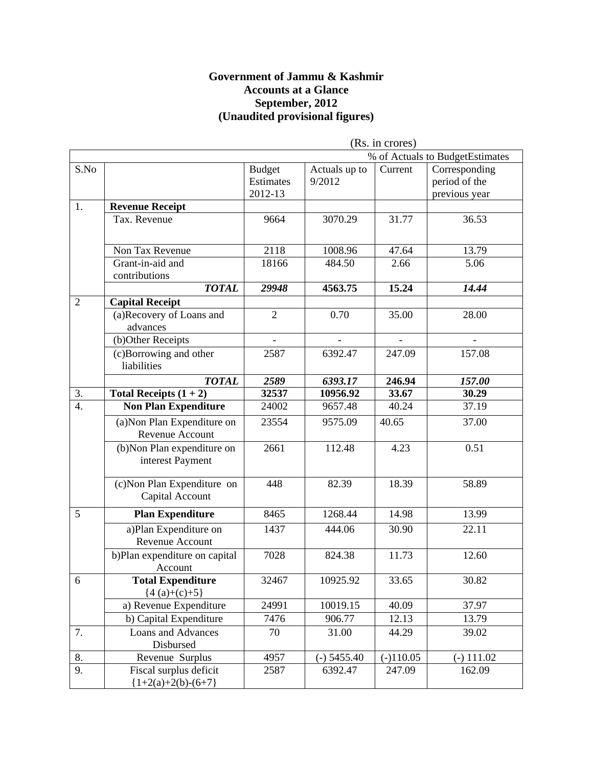#### **Government of Jammu & Kashmir Accounts at a Glance September, 2012 (Unaudited provisional figures)**

|                  | (Rs. in crores)                                 |                                       |                         |             |                                                 |  |
|------------------|-------------------------------------------------|---------------------------------------|-------------------------|-------------|-------------------------------------------------|--|
|                  |                                                 |                                       |                         |             | % of Actuals to BudgetEstimates                 |  |
| S.No             |                                                 | <b>Budget</b><br>Estimates<br>2012-13 | Actuals up to<br>9/2012 | Current     | Corresponding<br>period of the<br>previous year |  |
| 1.               | <b>Revenue Receipt</b>                          |                                       |                         |             |                                                 |  |
|                  | Tax. Revenue                                    | 9664                                  | 3070.29                 | 31.77       | 36.53                                           |  |
|                  | Non Tax Revenue                                 | 2118                                  | 1008.96                 | 47.64       | 13.79                                           |  |
|                  | Grant-in-aid and<br>contributions               | 18166                                 | 484.50                  | 2.66        | 5.06                                            |  |
|                  | <b>TOTAL</b>                                    | 29948                                 | 4563.75                 | 15.24       | 14.44                                           |  |
| $\overline{2}$   | <b>Capital Receipt</b>                          |                                       |                         |             |                                                 |  |
|                  | (a)Recovery of Loans and<br>advances            | $\overline{2}$                        | 0.70                    | 35.00       | 28.00                                           |  |
|                  | (b)Other Receipts                               |                                       |                         |             |                                                 |  |
|                  | (c)Borrowing and other<br>liabilities           | 2587                                  | 6392.47                 | 247.09      | 157.08                                          |  |
|                  | <b>TOTAL</b>                                    | 2589                                  | 6393.17                 | 246.94      | 157.00                                          |  |
| 3.               | Total Receipts $(1 + 2)$                        | 32537                                 | 10956.92                | 33.67       | 30.29                                           |  |
| $\overline{4}$ . | <b>Non Plan Expenditure</b>                     | 24002                                 | 9657.48                 | 40.24       | 37.19                                           |  |
|                  | (a) Non Plan Expenditure on<br>Revenue Account  | 23554                                 | 9575.09                 | 40.65       | 37.00                                           |  |
|                  | (b) Non Plan expenditure on<br>interest Payment | 2661                                  | 112.48                  | 4.23        | 0.51                                            |  |
|                  | (c) Non Plan Expenditure on<br>Capital Account  | 448                                   | 82.39                   | 18.39       | 58.89                                           |  |
| 5                | <b>Plan Expenditure</b>                         | 8465                                  | 1268.44                 | 14.98       | 13.99                                           |  |
|                  | a)Plan Expenditure on<br>Revenue Account        | 1437                                  | 444.06                  | 30.90       | 22.11                                           |  |
|                  | b)Plan expenditure on capital<br>Account        | 7028                                  | 824.38                  | 11.73       | 12.60                                           |  |
| 6                | <b>Total Expenditure</b><br>${4(a)+(c)+5}$      | 32467                                 | 10925.92                | 33.65       | 30.82                                           |  |
|                  | a) Revenue Expenditure                          | 24991                                 | 10019.15                | 40.09       | 37.97                                           |  |
|                  | b) Capital Expenditure                          | 7476                                  | 906.77                  | 12.13       | 13.79                                           |  |
| 7.               | <b>Loans and Advances</b><br>Disbursed          | 70                                    | 31.00                   | 44.29       | 39.02                                           |  |
| 8.               | Revenue Surplus                                 | 4957                                  | $(-)$ 5455.40           | $(-)110.05$ | $(-)$ 111.02                                    |  |
| 9.               | Fiscal surplus deficit<br>${1+2(a)+2(b)-(6+7)}$ | 2587                                  | 6392.47                 | 247.09      | 162.09                                          |  |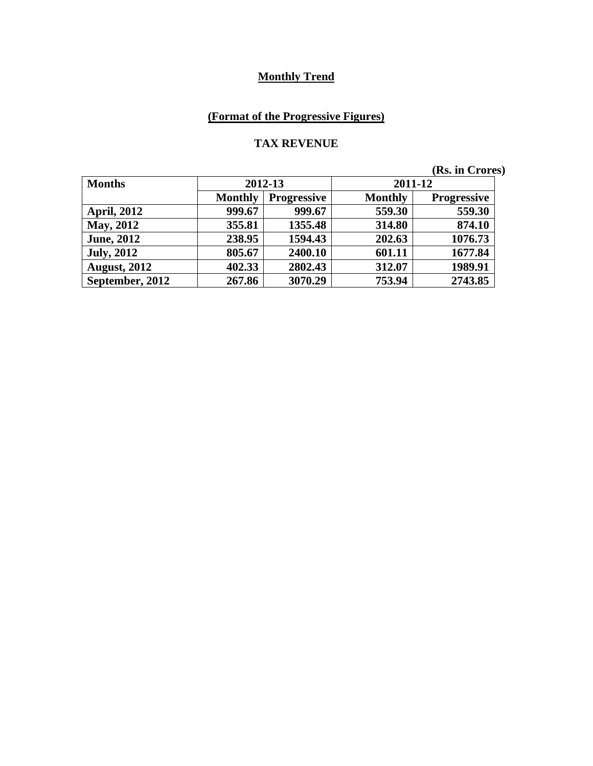# **(Format of the Progressive Figures)**

#### **TAX REVENUE**

| <b>Months</b>       | 2012-13                              |         | 2011-12        |                    |
|---------------------|--------------------------------------|---------|----------------|--------------------|
|                     | <b>Monthly</b><br><b>Progressive</b> |         | <b>Monthly</b> | <b>Progressive</b> |
| <b>April, 2012</b>  | 999.67                               | 999.67  | 559.30         | 559.30             |
| <b>May, 2012</b>    | 355.81                               | 1355.48 | 314.80         | 874.10             |
| <b>June, 2012</b>   | 238.95                               | 1594.43 | 202.63         | 1076.73            |
| <b>July, 2012</b>   | 805.67                               | 2400.10 | 601.11         | 1677.84            |
| <b>August, 2012</b> | 402.33                               | 2802.43 | 312.07         | 1989.91            |
| September, 2012     | 267.86                               | 3070.29 | 753.94         | 2743.85            |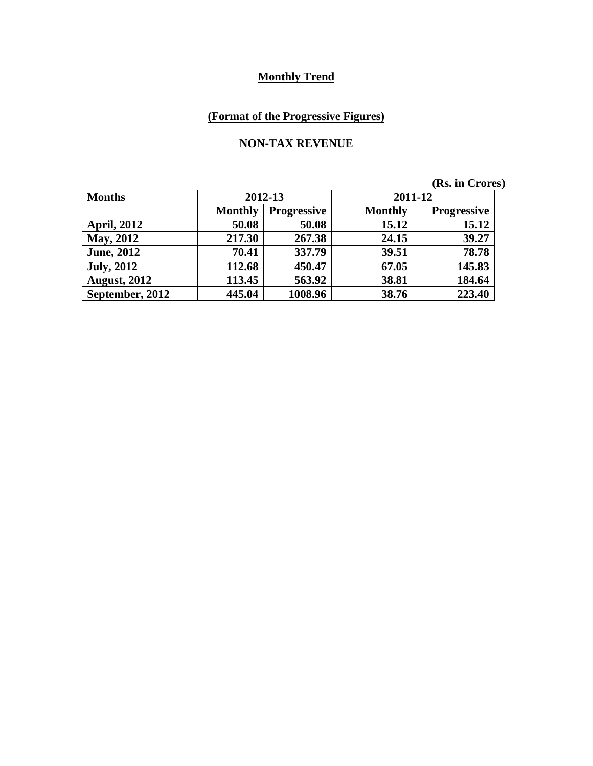# **(Format of the Progressive Figures)**

#### **NON-TAX REVENUE**

| <b>Months</b>       | 2012-13                              |         |                | 2011-12            |
|---------------------|--------------------------------------|---------|----------------|--------------------|
|                     | <b>Monthly</b><br><b>Progressive</b> |         | <b>Monthly</b> | <b>Progressive</b> |
| <b>April, 2012</b>  | 50.08                                | 50.08   | 15.12          | 15.12              |
| <b>May, 2012</b>    | 217.30                               | 267.38  | 24.15          | 39.27              |
| <b>June, 2012</b>   | 70.41                                | 337.79  | 39.51          | 78.78              |
| <b>July, 2012</b>   | 112.68                               | 450.47  | 67.05          | 145.83             |
| <b>August, 2012</b> | 113.45                               | 563.92  | 38.81          | 184.64             |
| September, 2012     | 445.04                               | 1008.96 | 38.76          | 223.40             |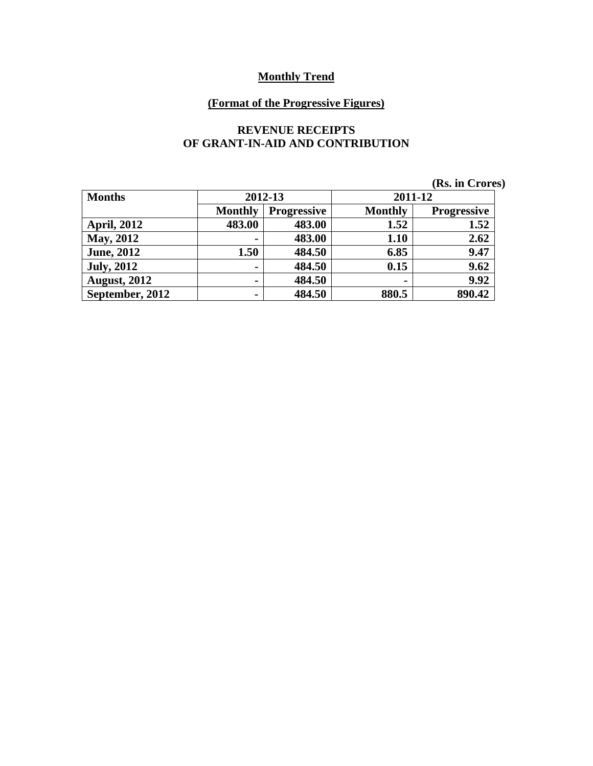#### **(Format of the Progressive Figures)**

#### **REVENUE RECEIPTS OF GRANT-IN-AID AND CONTRIBUTION**

|                     |                |                    |                | (Rs. in Crores)    |
|---------------------|----------------|--------------------|----------------|--------------------|
| <b>Months</b>       |                | 2012-13            |                | 2011-12            |
|                     | <b>Monthly</b> | <b>Progressive</b> | <b>Monthly</b> | <b>Progressive</b> |
| <b>April, 2012</b>  | 483.00         | 483.00             | 1.52           | 1.52               |
| <b>May, 2012</b>    | $\blacksquare$ | 483.00             | 1.10           | 2.62               |
| <b>June</b> , 2012  | 1.50           | 484.50             | 6.85           | 9.47               |
| <b>July</b> , 2012  | $\blacksquare$ | 484.50             | 0.15           | 9.62               |
| <b>August, 2012</b> | $\blacksquare$ | 484.50             | $\blacksquare$ | 9.92               |
| September, 2012     | $\blacksquare$ | 484.50             | 880.5          | 890.42             |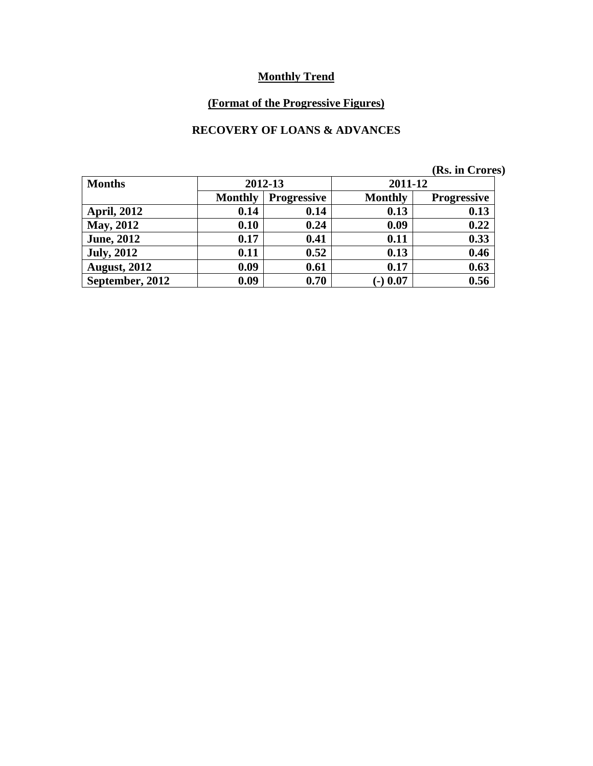# **(Format of the Progressive Figures)**

#### **RECOVERY OF LOANS & ADVANCES**

|                     |                                      |         |                | <b>The III</b> CLOTER |
|---------------------|--------------------------------------|---------|----------------|-----------------------|
| <b>Months</b>       |                                      | 2012-13 |                | 2011-12               |
|                     | <b>Monthly</b><br><b>Progressive</b> |         | <b>Monthly</b> | <b>Progressive</b>    |
| <b>April, 2012</b>  | 0.14                                 | 0.14    | 0.13           | 0.13                  |
| <b>May, 2012</b>    | 0.10                                 | 0.24    | 0.09           | 0.22                  |
| <b>June, 2012</b>   | 0.17                                 | 0.41    | 0.11           | 0.33                  |
| <b>July, 2012</b>   | 0.11                                 | 0.52    | 0.13           | 0.46                  |
| <b>August, 2012</b> | 0.09                                 | 0.61    | 0.17           | 0.63                  |
| September, 2012     | 0.09                                 | 0.70    | $(-) 0.07$     | 0.56                  |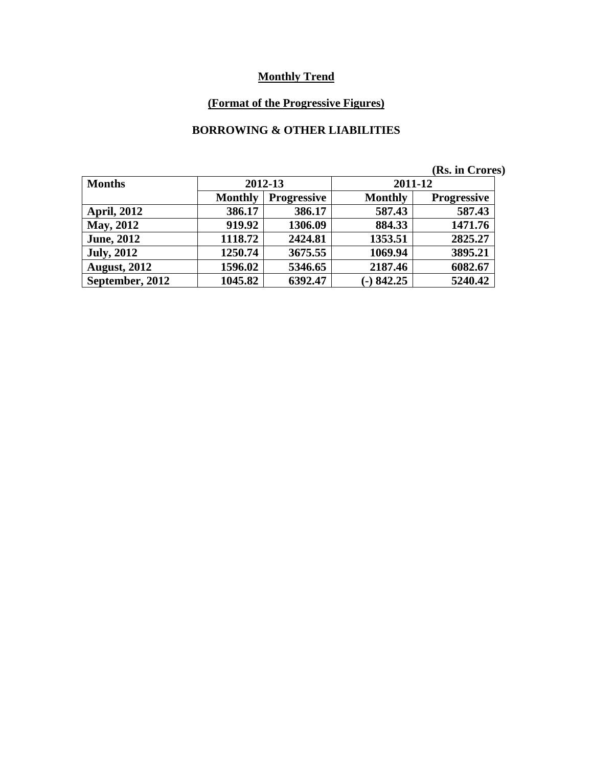# **(Format of the Progressive Figures)**

#### **BORROWING & OTHER LIABILITIES**

|                     |                |                    |                | (Rs. in Crores)    |  |
|---------------------|----------------|--------------------|----------------|--------------------|--|
| <b>Months</b>       |                | 2012-13            | 2011-12        |                    |  |
|                     | <b>Monthly</b> | <b>Progressive</b> | <b>Monthly</b> | <b>Progressive</b> |  |
| <b>April, 2012</b>  | 386.17         | 386.17             | 587.43         | 587.43             |  |
| <b>May, 2012</b>    | 919.92         | 1306.09            | 884.33         | 1471.76            |  |
| <b>June</b> , 2012  | 1118.72        | 2424.81            | 1353.51        | 2825.27            |  |
| <b>July, 2012</b>   | 1250.74        | 3675.55            | 1069.94        | 3895.21            |  |
| <b>August, 2012</b> | 1596.02        | 5346.65            | 2187.46        | 6082.67            |  |
| September, 2012     | 1045.82        | 6392.47            | $-)842.25$     | 5240.42            |  |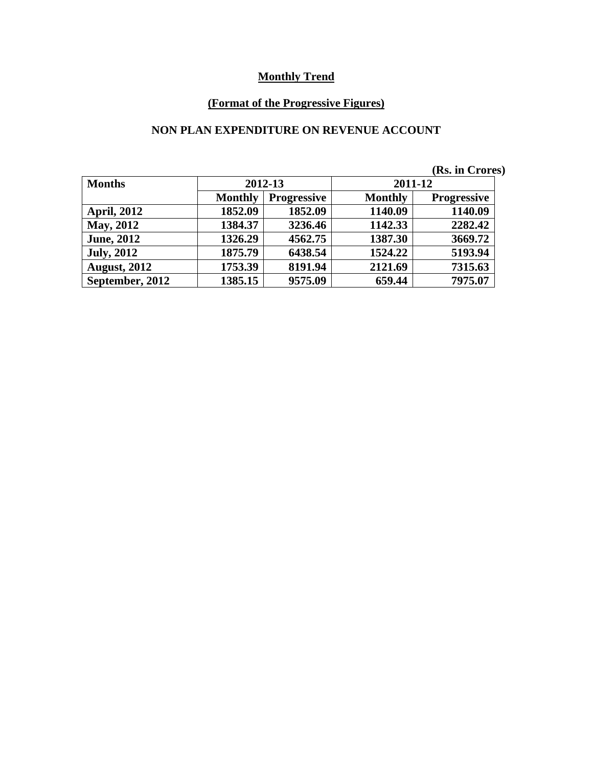# **(Format of the Progressive Figures)**

#### **NON PLAN EXPENDITURE ON REVENUE ACCOUNT**

|                     |                |                    |                | (Rs. in Crores)    |
|---------------------|----------------|--------------------|----------------|--------------------|
| <b>Months</b>       | 2012-13        |                    | 2011-12        |                    |
|                     | <b>Monthly</b> | <b>Progressive</b> | <b>Monthly</b> | <b>Progressive</b> |
| <b>April, 2012</b>  | 1852.09        | 1852.09            | 1140.09        | 1140.09            |
| <b>May, 2012</b>    | 1384.37        | 3236.46            | 1142.33        | 2282.42            |
| <b>June</b> , 2012  | 1326.29        | 4562.75            | 1387.30        | 3669.72            |
| <b>July, 2012</b>   | 1875.79        | 6438.54            | 1524.22        | 5193.94            |
| <b>August, 2012</b> | 1753.39        | 8191.94            | 2121.69        | 7315.63            |
| September, 2012     | 1385.15        | 9575.09            | 659.44         | 7975.07            |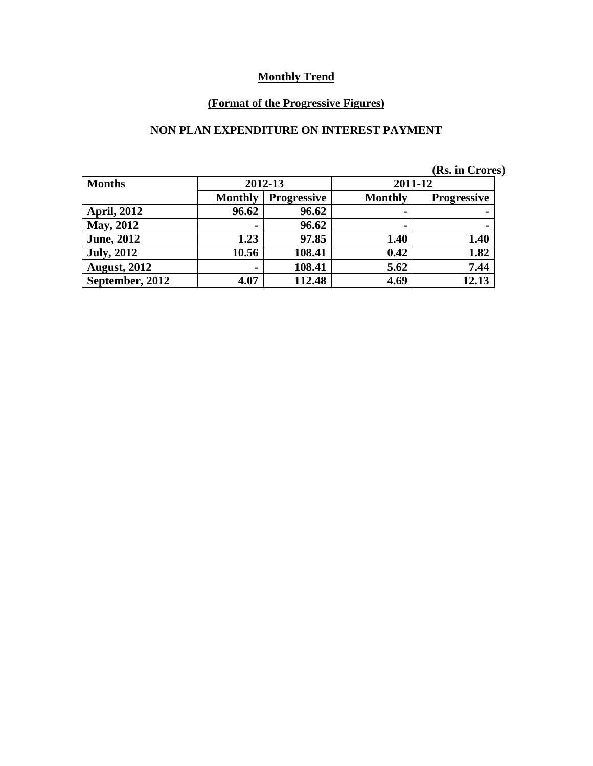# **(Format of the Progressive Figures)**

#### **NON PLAN EXPENDITURE ON INTEREST PAYMENT**

|  | (Rs. in Crores) |
|--|-----------------|
|  |                 |

| <b>Months</b>       |                | 2012-13            |      | 2011-12            |
|---------------------|----------------|--------------------|------|--------------------|
|                     | <b>Monthly</b> | <b>Progressive</b> |      | <b>Progressive</b> |
| <b>April, 2012</b>  | 96.62          | 96.62              | ۰    |                    |
| <b>May, 2012</b>    |                | 96.62              | ۰    |                    |
| <b>June, 2012</b>   | 1.23           | 97.85              | 1.40 | 1.40               |
| <b>July, 2012</b>   | 10.56          | 108.41             | 0.42 | 1.82               |
| <b>August, 2012</b> | -              | 108.41             | 5.62 | 7.44               |
| September, 2012     | 4.07           | 112.48             | 4.69 | 12.13              |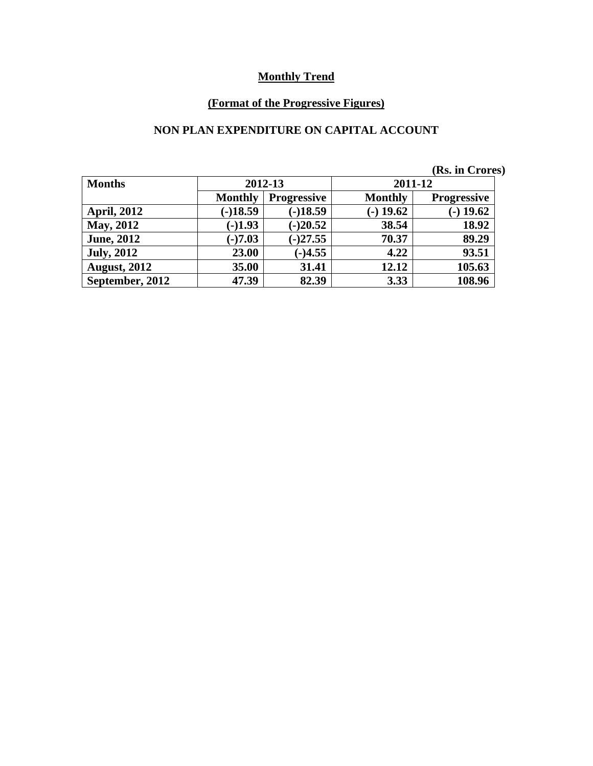# **(Format of the Progressive Figures)**

#### **NON PLAN EXPENDITURE ON CAPITAL ACCOUNT**

|                     |                |                    |                | (Rs. in Crores)    |
|---------------------|----------------|--------------------|----------------|--------------------|
| <b>Months</b>       | 2012-13        |                    | 2011-12        |                    |
|                     | <b>Monthly</b> | <b>Progressive</b> | <b>Monthly</b> | <b>Progressive</b> |
| <b>April, 2012</b>  | $(-)18.59$     | $(-)18.59$         | $(-)$ 19.62    | $-$ ) 19.62        |
| <b>May, 2012</b>    | $(-)1.93$      | $(-)20.52$         | 38.54          | 18.92              |
| <b>June, 2012</b>   | $(-)7.03$      | $(-)27.55$         | 70.37          | 89.29              |
| <b>July, 2012</b>   | 23.00          | $(-)4.55$          | 4.22           | 93.51              |
| <b>August, 2012</b> | 35.00          | 31.41              | 12.12          | 105.63             |
| September, 2012     | 47.39          | 82.39              | 3.33           | 108.96             |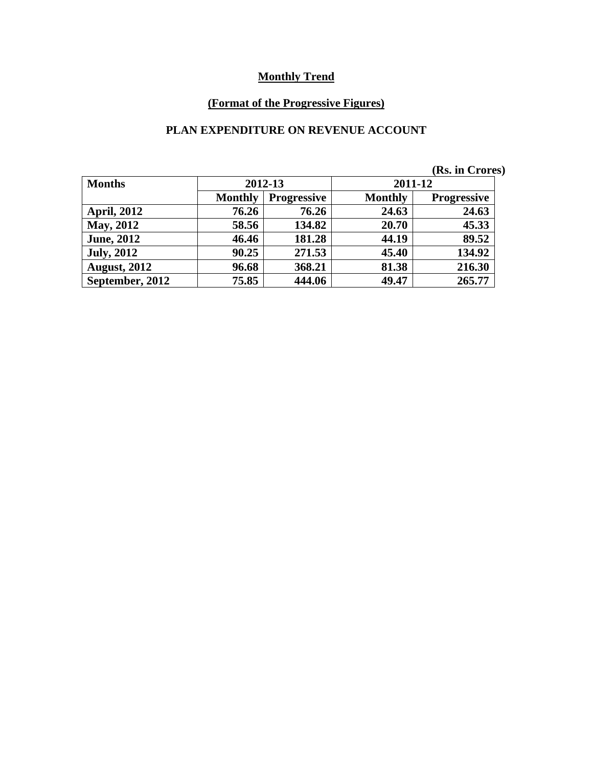# **(Format of the Progressive Figures)**

#### **PLAN EXPENDITURE ON REVENUE ACCOUNT**

|  | (Rs. in Crores) |
|--|-----------------|
|  |                 |

| <b>Months</b>       |                                      | 2012-13 |                | 2011-12            |
|---------------------|--------------------------------------|---------|----------------|--------------------|
|                     | <b>Monthly</b><br><b>Progressive</b> |         | <b>Monthly</b> | <b>Progressive</b> |
| <b>April, 2012</b>  | 76.26                                | 76.26   | 24.63          | 24.63              |
| <b>May, 2012</b>    | 58.56                                | 134.82  | 20.70          | 45.33              |
| <b>June, 2012</b>   | 46.46                                | 181.28  | 44.19          | 89.52              |
| <b>July, 2012</b>   | 90.25                                | 271.53  | 45.40          | 134.92             |
| <b>August, 2012</b> | 96.68                                | 368.21  | 81.38          | 216.30             |
| September, 2012     | 75.85                                | 444.06  | 49.47          | 265.77             |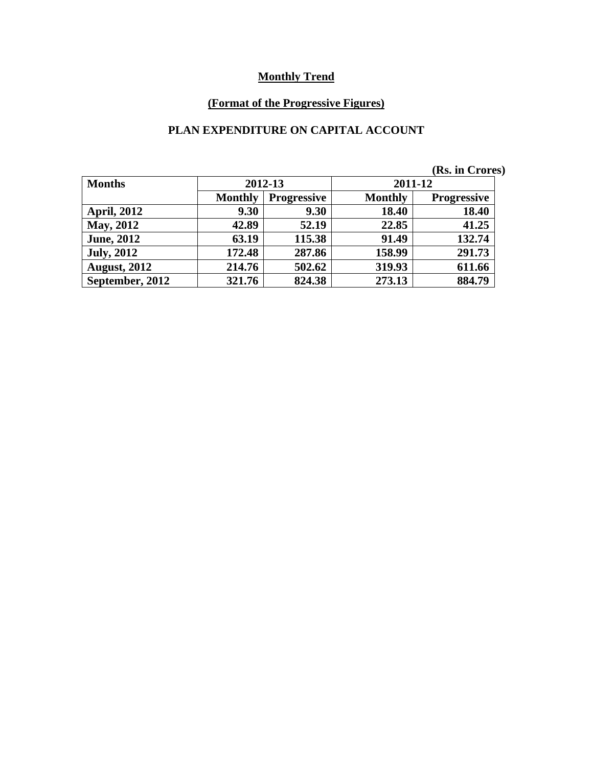# **(Format of the Progressive Figures)**

#### **PLAN EXPENDITURE ON CAPITAL ACCOUNT**

|  |  | (Rs. in Crores) |  |
|--|--|-----------------|--|
|  |  |                 |  |

| <b>Months</b>       |                | 2012-13            | 2011-12        |                    |  |
|---------------------|----------------|--------------------|----------------|--------------------|--|
|                     | <b>Monthly</b> | <b>Progressive</b> | <b>Monthly</b> | <b>Progressive</b> |  |
| <b>April, 2012</b>  | 9.30           | 9.30               | 18.40          | 18.40              |  |
| May, 2012           | 42.89          | 52.19              | 22.85          | 41.25              |  |
| <b>June, 2012</b>   | 63.19          | 115.38             | 91.49          | 132.74             |  |
| <b>July, 2012</b>   | 172.48         | 287.86             | 158.99         | 291.73             |  |
| <b>August, 2012</b> | 214.76         | 502.62             | 319.93         | 611.66             |  |
| September, 2012     | 321.76         | 824.38             | 273.13         | 884.79             |  |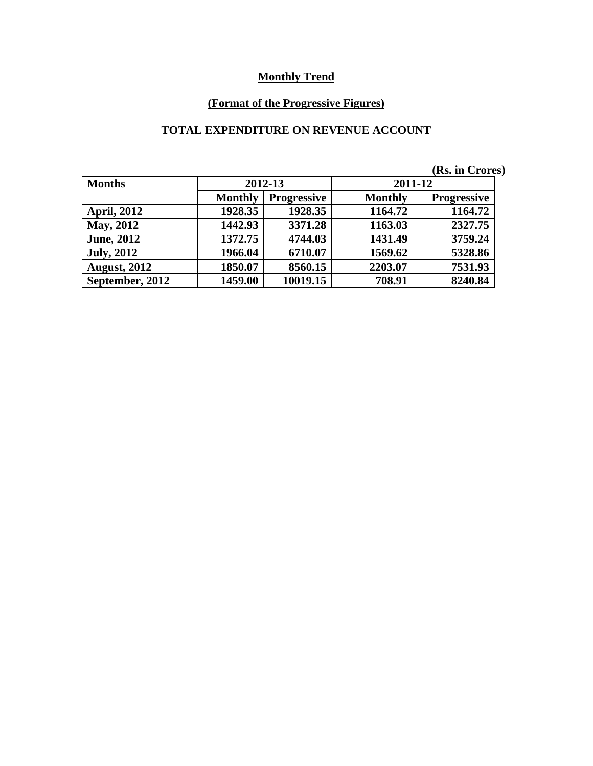# **(Format of the Progressive Figures)**

#### **TOTAL EXPENDITURE ON REVENUE ACCOUNT**

|                     |                |                    |                | (Rs. in Crores)    |  |
|---------------------|----------------|--------------------|----------------|--------------------|--|
| <b>Months</b>       | 2012-13        |                    | 2011-12        |                    |  |
|                     | <b>Monthly</b> | <b>Progressive</b> | <b>Monthly</b> | <b>Progressive</b> |  |
| <b>April, 2012</b>  | 1928.35        | 1928.35            | 1164.72        | 1164.72            |  |
| May, 2012           | 1442.93        | 3371.28            | 1163.03        | 2327.75            |  |
| <b>June, 2012</b>   | 1372.75        | 4744.03            | 1431.49        | 3759.24            |  |
| <b>July, 2012</b>   | 1966.04        | 6710.07            | 1569.62        | 5328.86            |  |
| <b>August, 2012</b> | 1850.07        | 8560.15            | 2203.07        | 7531.93            |  |
| September, 2012     | 1459.00        | 10019.15           | 708.91         | 8240.84            |  |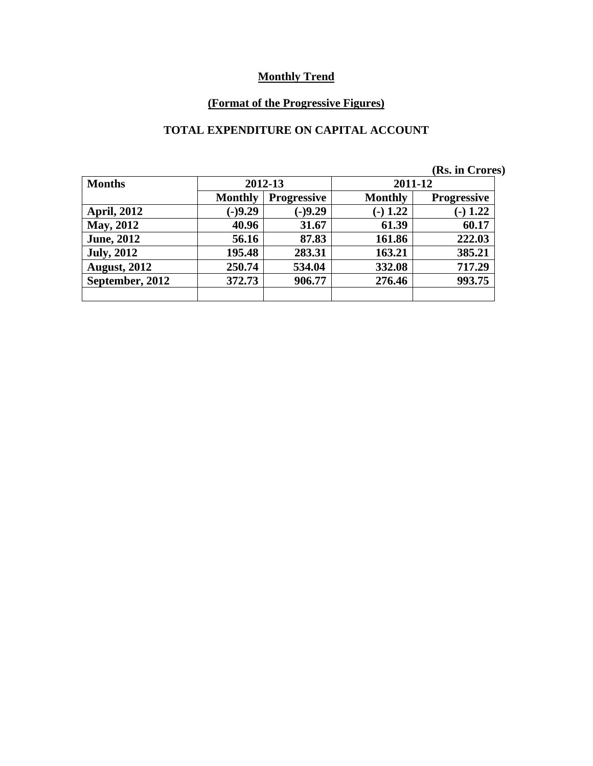# **(Format of the Progressive Figures)**

#### **TOTAL EXPENDITURE ON CAPITAL ACCOUNT**

| <b>Months</b>       |                                      | 2012-13   | 2011-12        |                    |
|---------------------|--------------------------------------|-----------|----------------|--------------------|
|                     | <b>Monthly</b><br><b>Progressive</b> |           | <b>Monthly</b> | <b>Progressive</b> |
| <b>April, 2012</b>  | $(-)9.29$                            | $(-)9.29$ | $(-) 1.22$     | $-1.22$            |
| May, 2012           | 40.96                                | 31.67     | 61.39          | 60.17              |
| <b>June, 2012</b>   | 56.16                                | 87.83     | 161.86         | 222.03             |
| <b>July, 2012</b>   | 195.48                               | 283.31    | 163.21         | 385.21             |
| <b>August, 2012</b> | 250.74                               | 534.04    | 332.08         | 717.29             |
| September, 2012     | 372.73                               | 906.77    | 276.46         | 993.75             |
|                     |                                      |           |                |                    |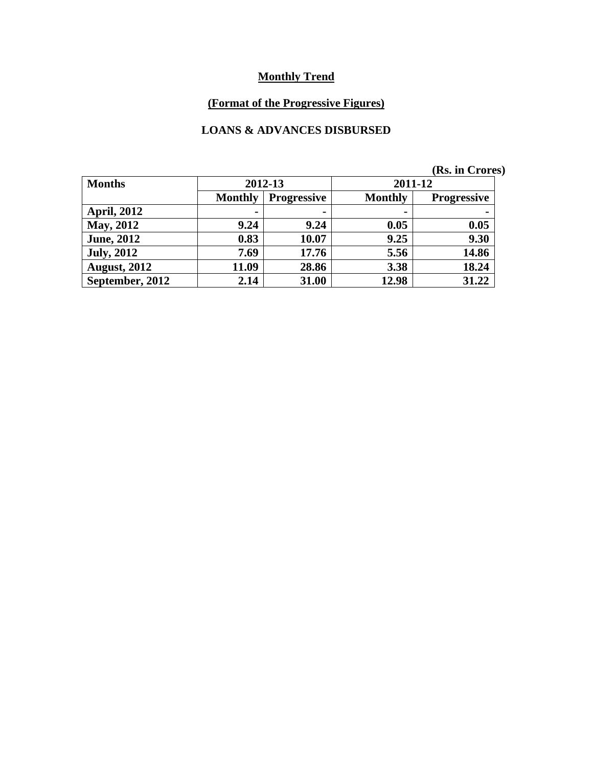# **(Format of the Progressive Figures)**

#### **LOANS & ADVANCES DISBURSED**

|                     |                |                    |                | (Rs. in Crores)    |  |
|---------------------|----------------|--------------------|----------------|--------------------|--|
| <b>Months</b>       |                | 2012-13            | 2011-12        |                    |  |
|                     | <b>Monthly</b> | <b>Progressive</b> | <b>Monthly</b> | <b>Progressive</b> |  |
| <b>April, 2012</b>  | $\blacksquare$ | $\blacksquare$     | $\blacksquare$ |                    |  |
| <b>May, 2012</b>    | 9.24           | 9.24               | 0.05           | 0.05               |  |
| <b>June, 2012</b>   | 0.83           | 10.07              | 9.25           | 9.30               |  |
| <b>July, 2012</b>   | 7.69           | 17.76              | 5.56           | 14.86              |  |
| <b>August, 2012</b> | 11.09          | 28.86              | 3.38           | 18.24              |  |
| September, 2012     | 2.14           | 31.00              | 12.98          | 31.22              |  |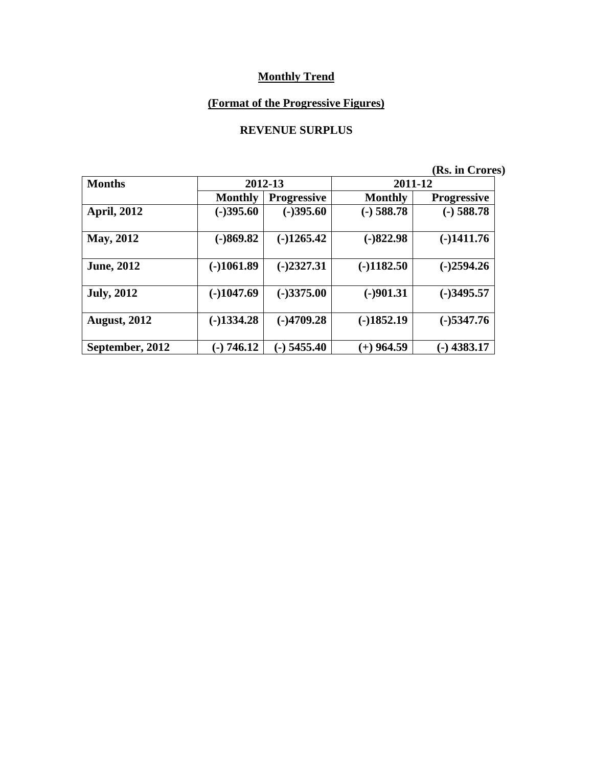# **(Format of the Progressive Figures)**

#### **REVENUE SURPLUS**

| <b>Months</b>       |                | 2012-13            | 2011-12        |                    |  |
|---------------------|----------------|--------------------|----------------|--------------------|--|
|                     | <b>Monthly</b> | <b>Progressive</b> | <b>Monthly</b> | <b>Progressive</b> |  |
| <b>April, 2012</b>  | $(-)395.60$    | $(-)395.60$        | $(-)$ 588.78   | $(-)$ 588.78       |  |
| <b>May, 2012</b>    | $(-)869.82$    | $(-)1265.42$       | $(-)822.98$    | $(-)1411.76$       |  |
| <b>June, 2012</b>   | $(-)1061.89$   | $(-)2327.31$       | $(-)1182.50$   | $(-)2594.26$       |  |
| <b>July, 2012</b>   | $(-)1047.69$   | $(-)3375.00$       | $(-)901.31$    | $(-)3495.57$       |  |
| <b>August, 2012</b> | $(-)1334.28$   | $(-)4709.28$       | $(-)1852.19$   | $(-)$ 5347.76      |  |
| September, 2012     | $(-) 746.12$   | $(-)$ 5455.40      | $(+)$ 964.59   | $-$ ) 4383.17      |  |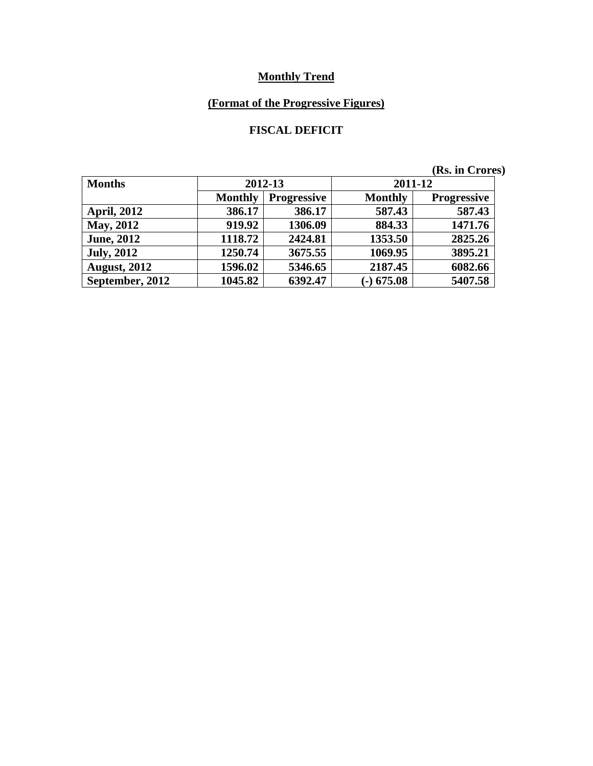# **(Format of the Progressive Figures)**

#### **FISCAL DEFICIT**

| <b>Months</b>       |                | 2012-13            | 2011-12        |                    |  |
|---------------------|----------------|--------------------|----------------|--------------------|--|
|                     | <b>Monthly</b> | <b>Progressive</b> | <b>Monthly</b> | <b>Progressive</b> |  |
| <b>April, 2012</b>  | 386.17         | 386.17             | 587.43         | 587.43             |  |
| <b>May, 2012</b>    | 919.92         | 1306.09            | 884.33         | 1471.76            |  |
| <b>June, 2012</b>   | 1118.72        | 2424.81            | 1353.50        | 2825.26            |  |
| <b>July, 2012</b>   | 1250.74        | 3675.55            | 1069.95        | 3895.21            |  |
| <b>August, 2012</b> | 1596.02        | 5346.65            | 2187.45        | 6082.66            |  |
| September, 2012     | 1045.82        | 6392.47            | $(-)$ 675.08   | 5407.58            |  |